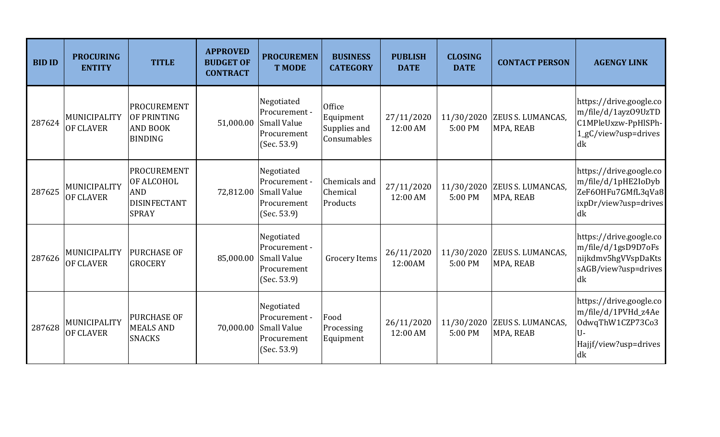| <b>BID ID</b> | <b>PROCURING</b><br><b>ENTITY</b> | <b>TITLE</b>                                                                          | <b>APPROVED</b><br><b>BUDGET OF</b><br><b>CONTRACT</b> | <b>PROCUREMEN</b><br><b>T MODE</b>                                              | <b>BUSINESS</b><br><b>CATEGORY</b>                 | <b>PUBLISH</b><br><b>DATE</b> | <b>CLOSING</b><br><b>DATE</b> | <b>CONTACT PERSON</b>                 | <b>AGENGY LINK</b>                                                                                       |
|---------------|-----------------------------------|---------------------------------------------------------------------------------------|--------------------------------------------------------|---------------------------------------------------------------------------------|----------------------------------------------------|-------------------------------|-------------------------------|---------------------------------------|----------------------------------------------------------------------------------------------------------|
| 287624        | MUNICIPALITY<br><b>OF CLAVER</b>  | PROCUREMENT<br>OF PRINTING<br><b>AND BOOK</b><br><b>BINDING</b>                       | 51,000.00                                              | Negotiated<br>Procurement -<br><b>Small Value</b><br>Procurement<br>(Sec. 53.9) | Office<br>Equipment<br>Supplies and<br>Consumables | 27/11/2020<br>12:00 AM        | 11/30/2020<br>5:00 PM         | ZEUS S. LUMANCAS,<br>MPA, REAB        | https://drive.google.co<br>m/file/d/1ayz09UzTD<br>C1MPleUxzw-PpHlSPh-<br>1_gC/view?usp=drives<br> dk     |
| 287625        | MUNICIPALITY<br><b>OF CLAVER</b>  | <b>PROCUREMENT</b><br>OF ALCOHOL<br><b>AND</b><br><b>DISINFECTANT</b><br><b>SPRAY</b> | 72,812.00                                              | Negotiated<br>Procurement -<br><b>Small Value</b><br>Procurement<br>(Sec. 53.9) | Chemicals and<br>Chemical<br>Products              | 27/11/2020<br>12:00 AM        | 11/30/2020<br>5:00 PM         | ZEUS S. LUMANCAS,<br>MPA, REAB        | https://drive.google.co<br>m/file/d/1pHE2IoDyb<br>ZeF6OHFu7GMfL3qVa8<br>ixpDr/view?usp=drives<br>dk      |
| 287626        | MUNICIPALITY<br><b>OF CLAVER</b>  | <b>PURCHASE OF</b><br><b>GROCERY</b>                                                  | 85,000.00                                              | Negotiated<br>Procurement -<br><b>Small Value</b><br>Procurement<br>(Sec. 53.9) | <b>Grocery Items</b>                               | 26/11/2020<br>12:00AM         | 11/30/2020<br>5:00 PM         | <b>ZEUS S. LUMANCAS,</b><br>MPA, REAB | https://drive.google.co<br>m/file/d/1gsD9D7oFs<br>nijkdmv5hgVVspDaKts<br>sAGB/view?usp=drives<br>dk      |
| 287628        | MUNICIPALITY<br>OF CLAVER         | <b>PURCHASE OF</b><br><b>MEALS AND</b><br><b>SNACKS</b>                               | 70,000.00                                              | Negotiated<br>Procurement -<br><b>Small Value</b><br>Procurement<br>(Sec. 53.9) | Food<br>Processing<br>Equipment                    | 26/11/2020<br>12:00 AM        | 11/30/2020<br>5:00 PM         | <b>ZEUS S. LUMANCAS,</b><br>MPA, REAB | https://drive.google.co<br>m/file/d/1PVHd_z4Ae<br>OdwqThW1CZP73Co3<br>U-<br>Hajjf/view?usp=drives<br>ldk |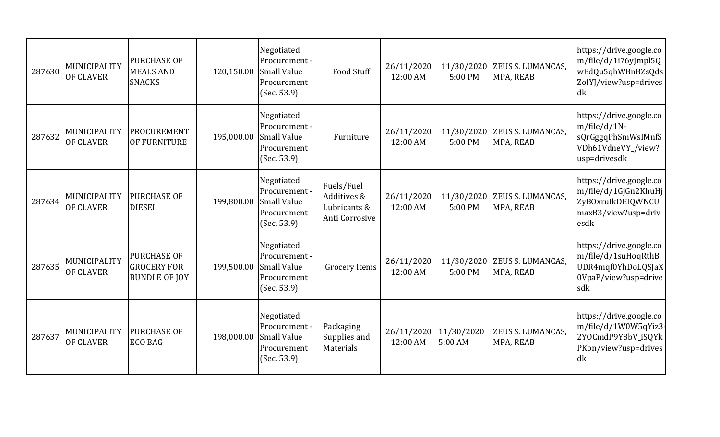| 287630 | MUNICIPALITY<br><b>OF CLAVER</b> | <b>PURCHASE OF</b><br><b>MEALS AND</b><br><b>SNACKS</b>          | 120,150.00 | Negotiated<br>Procurement -<br><b>Small Value</b><br>Procurement<br>(Sec. 53.9) | Food Stuff                                                  | 26/11/2020<br>12:00 AM | 11/30/2020<br>5:00 PM | ZEUS S. LUMANCAS,<br>MPA, REAB        | https://drive.google.co<br>m/file/d/1i76yJmpl5Q<br>wEdQu5qhWBnBZsQds<br>ZoIYJ/view?usp=drives<br>dk   |
|--------|----------------------------------|------------------------------------------------------------------|------------|---------------------------------------------------------------------------------|-------------------------------------------------------------|------------------------|-----------------------|---------------------------------------|-------------------------------------------------------------------------------------------------------|
| 287632 | MUNICIPALITY<br><b>OF CLAVER</b> | PROCUREMENT<br>OF FURNITURE                                      | 195,000.00 | Negotiated<br>Procurement -<br><b>Small Value</b><br>Procurement<br>(Sec. 53.9) | Furniture                                                   | 26/11/2020<br>12:00 AM | 11/30/2020<br>5:00 PM | ZEUS S. LUMANCAS,<br>MPA, REAB        | https://drive.google.co<br>$m/file/d/1N-$<br>sQrGggqPhSmWsIMnfS<br>VDh61VdneVY_/view?<br>usp=drivesdk |
| 287634 | MUNICIPALITY<br><b>OF CLAVER</b> | <b>PURCHASE OF</b><br><b>DIESEL</b>                              | 199,800.00 | Negotiated<br>Procurement -<br><b>Small Value</b><br>Procurement<br>(Sec. 53.9) | Fuels/Fuel<br>Additives &<br>Lubricants &<br>Anti Corrosive | 26/11/2020<br>12:00 AM | 11/30/2020<br>5:00 PM | ZEUS S. LUMANCAS,<br>MPA, REAB        | https://drive.google.co<br>m/file/d/1GjGn2KhuHj<br>ZyBOxruIkDEIQWNCU<br>maxB3/view?usp=driv<br>esdk   |
| 287635 | MUNICIPALITY<br>OF CLAVER        | <b>PURCHASE OF</b><br><b>GROCERY FOR</b><br><b>BUNDLE OF JOY</b> | 199,500.00 | Negotiated<br>Procurement -<br><b>Small Value</b><br>Procurement<br>(Sec. 53.9) | <b>Grocery Items</b>                                        | 26/11/2020<br>12:00 AM | 11/30/2020<br>5:00 PM | <b>ZEUS S. LUMANCAS,</b><br>MPA, REAB | https://drive.google.co<br>m/file/d/1suHoqRthB<br>UDR4mqf0YhDoLQSJaX<br>0VpaP/view?usp=drive<br>sdk   |
| 287637 | MUNICIPALITY<br><b>OF CLAVER</b> | <b>PURCHASE OF</b><br><b>ECO BAG</b>                             | 198,000.00 | Negotiated<br>Procurement -<br><b>Small Value</b><br>Procurement<br>(Sec. 53.9) | Packaging<br>Supplies and<br>Materials                      | 26/11/2020<br>12:00 AM | 11/30/2020<br>5:00 AM | ZEUS S. LUMANCAS,<br>MPA, REAB        | https://drive.google.co<br>m/file/d/1W0W5qYiz3<br>2YOCmdP9Y8bV_iSQYk<br>PKon/view?usp=drives<br>dk    |